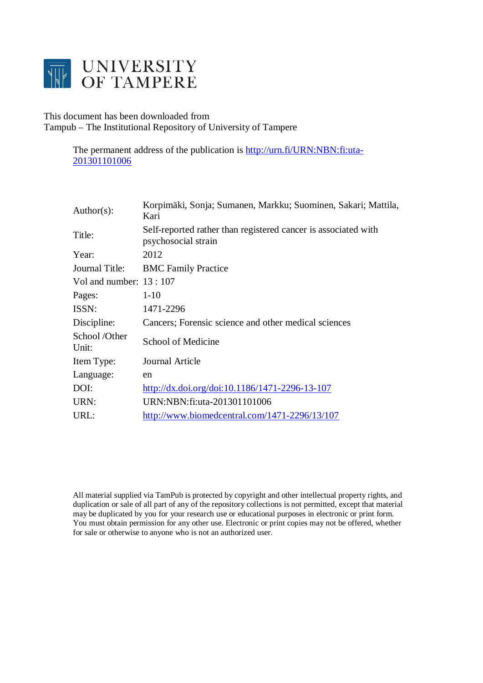

# This document has been downloaded from Tampub – The Institutional Repository of University of Tampere

The permanent address of the publication is [http://urn.fi/URN:NBN:fi:uta-](http://urn.fi/URN:NBN:fi:uta-201301101006)[201301101006](http://urn.fi/URN:NBN:fi:uta-201301101006)

| Author( $s$ ):           | Korpimäki, Sonja; Sumanen, Markku; Suominen, Sakari; Mattila,<br>Kari                 |
|--------------------------|---------------------------------------------------------------------------------------|
| Title:                   | Self-reported rather than registered cancer is associated with<br>psychosocial strain |
| Year:                    | 2012                                                                                  |
| Journal Title:           | <b>BMC</b> Family Practice                                                            |
| Vol and number: $13:107$ |                                                                                       |
| Pages:                   | $1-10$                                                                                |
| ISSN:                    | 1471-2296                                                                             |
| Discipline:              | Cancers; Forensic science and other medical sciences                                  |
| School/Other<br>Unit:    | School of Medicine                                                                    |
| Item Type:               | Journal Article                                                                       |
| Language:                | en                                                                                    |
| DOI:                     | http://dx.doi.org/doi:10.1186/1471-2296-13-107                                        |
| URN:                     | URN:NBN:fi:uta-201301101006                                                           |
| URL:                     | http://www.biomedcentral.com/1471-2296/13/107                                         |

All material supplied via TamPub is protected by copyright and other intellectual property rights, and duplication or sale of all part of any of the repository collections is not permitted, except that material may be duplicated by you for your research use or educational purposes in electronic or print form. You must obtain permission for any other use. Electronic or print copies may not be offered, whether for sale or otherwise to anyone who is not an authorized user.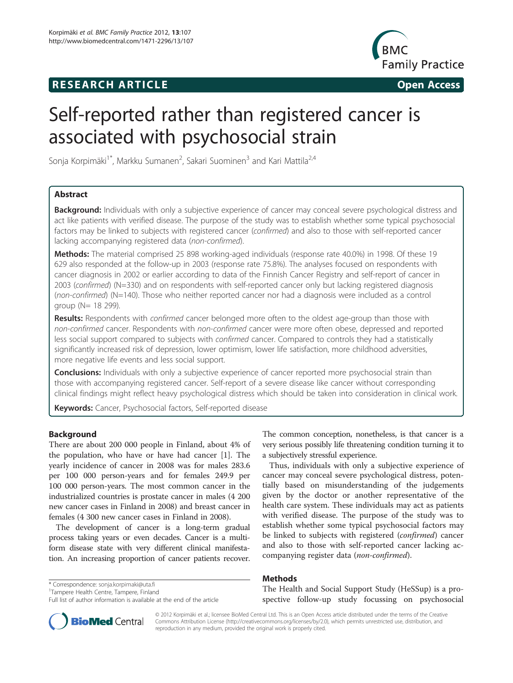# **RESEARCH ARTICLE Example 2014 CONSIDERING CONSIDERING CONSIDERING CONSIDERING CONSIDERING CONSIDERING CONSIDERING CONSIDERING CONSIDERING CONSIDERING CONSIDERING CONSIDERING CONSIDERING CONSIDERING CONSIDERING CONSIDE**



# Self-reported rather than registered cancer is associated with psychosocial strain

Sonja Korpimäki $^1^\ast$ , Markku Sumanen $^2$ , Sakari Suominen $^3$  and Kari Mattila $^{2,4}$ 

# Abstract

Background: Individuals with only a subjective experience of cancer may conceal severe psychological distress and act like patients with verified disease. The purpose of the study was to establish whether some typical psychosocial factors may be linked to subjects with registered cancer (confirmed) and also to those with self-reported cancer lacking accompanying registered data (non-confirmed).

Methods: The material comprised 25 898 working-aged individuals (response rate 40.0%) in 1998. Of these 19 629 also responded at the follow-up in 2003 (response rate 75.8%). The analyses focused on respondents with cancer diagnosis in 2002 or earlier according to data of the Finnish Cancer Registry and self-report of cancer in 2003 (confirmed) (N=330) and on respondents with self-reported cancer only but lacking registered diagnosis (non-confirmed) (N=140). Those who neither reported cancer nor had a diagnosis were included as a control group (N= 18 299).

Results: Respondents with confirmed cancer belonged more often to the oldest age-group than those with non-confirmed cancer. Respondents with non-confirmed cancer were more often obese, depressed and reported less social support compared to subjects with confirmed cancer. Compared to controls they had a statistically significantly increased risk of depression, lower optimism, lower life satisfaction, more childhood adversities, more negative life events and less social support.

Conclusions: Individuals with only a subjective experience of cancer reported more psychosocial strain than those with accompanying registered cancer. Self-report of a severe disease like cancer without corresponding clinical findings might reflect heavy psychological distress which should be taken into consideration in clinical work.

Keywords: Cancer, Psychosocial factors, Self-reported disease

# Background

There are about 200 000 people in Finland, about 4% of the population, who have or have had cancer [[1\]](#page-9-0). The yearly incidence of cancer in 2008 was for males 283.6 per 100 000 person-years and for females 249.9 per 100 000 person-years. The most common cancer in the industrialized countries is prostate cancer in males (4 200 new cancer cases in Finland in 2008) and breast cancer in females (4 300 new cancer cases in Finland in 2008).

The development of cancer is a long-term gradual process taking years or even decades. Cancer is a multiform disease state with very different clinical manifestation. An increasing proportion of cancer patients recover.

\* Correspondence: [sonja.korpimaki@uta.fi](mailto:sonja.korpimaki@uta.fi) <sup>1</sup>

Tampere Health Centre, Tampere, Finland

Full list of author information is available at the end of the article

The common conception, nonetheless, is that cancer is a very serious possibly life threatening condition turning it to a subjectively stressful experience.

Thus, individuals with only a subjective experience of cancer may conceal severe psychological distress, potentially based on misunderstanding of the judgements given by the doctor or another representative of the health care system. These individuals may act as patients with verified disease. The purpose of the study was to establish whether some typical psychosocial factors may be linked to subjects with registered (*confirmed*) cancer and also to those with self-reported cancer lacking accompanying register data (non-confirmed).

## Methods

The Health and Social Support Study (HeSSup) is a prospective follow-up study focussing on psychosocial



© 2012 Korpimäki et al.; licensee BioMed Central Ltd. This is an Open Access article distributed under the terms of the Creative Commons Attribution License [\(http://creativecommons.org/licenses/by/2.0\)](http://creativecommons.org/licenses/by/2.0), which permits unrestricted use, distribution, and reproduction in any medium, provided the original work is properly cited.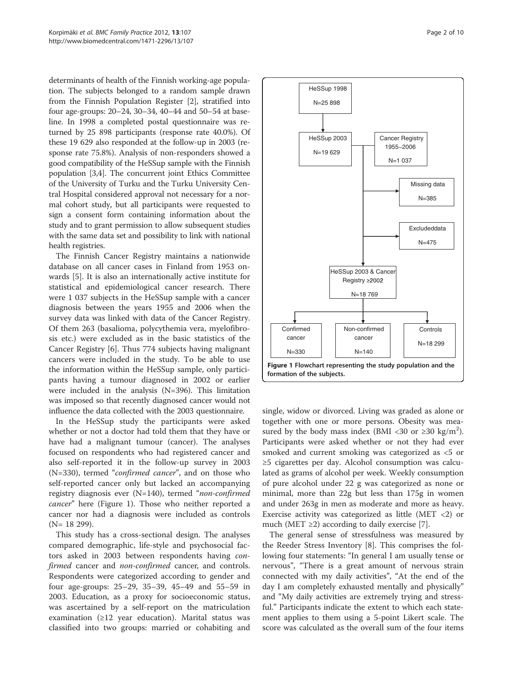determinants of health of the Finnish working-age population. The subjects belonged to a random sample drawn from the Finnish Population Register [\[2](#page-9-0)], stratified into four age-groups: 20–24, 30–34, 40–44 and 50–54 at baseline. In 1998 a completed postal questionnaire was returned by 25 898 participants (response rate 40.0%). Of these 19 629 also responded at the follow-up in 2003 (response rate 75.8%). Analysis of non-responders showed a good compatibility of the HeSSup sample with the Finnish population [[3,4](#page-9-0)]. The concurrent joint Ethics Committee of the University of Turku and the Turku University Central Hospital considered approval not necessary for a normal cohort study, but all participants were requested to sign a consent form containing information about the study and to grant permission to allow subsequent studies with the same data set and possibility to link with national health registries.

The Finnish Cancer Registry maintains a nationwide database on all cancer cases in Finland from 1953 onwards [\[5](#page-9-0)]. It is also an internationally active institute for statistical and epidemiological cancer research. There were 1 037 subjects in the HeSSup sample with a cancer diagnosis between the years 1955 and 2006 when the survey data was linked with data of the Cancer Registry. Of them 263 (basalioma, polycythemia vera, myelofibrosis etc.) were excluded as in the basic statistics of the Cancer Registry [\[6\]](#page-9-0). Thus 774 subjects having malignant cancers were included in the study. To be able to use the information within the HeSSup sample, only participants having a tumour diagnosed in 2002 or earlier were included in the analysis (N=396). This limitation was imposed so that recently diagnosed cancer would not influence the data collected with the 2003 questionnaire.

In the HeSSup study the participants were asked whether or not a doctor had told them that they have or have had a malignant tumour (cancer). The analyses focused on respondents who had registered cancer and also self-reported it in the follow-up survey in 2003 (N=330), termed "confirmed cancer", and on those who self-reported cancer only but lacked an accompanying registry diagnosis ever (N=140), termed "non-confirmed cancer" here (Figure 1). Those who neither reported a cancer nor had a diagnosis were included as controls (N= 18 299).

This study has a cross-sectional design. The analyses compared demographic, life-style and psychosocial factors asked in 2003 between respondents having con*firmed* cancer and *non-confirmed* cancer, and controls. Respondents were categorized according to gender and four age-groups: 25–29, 35–39, 45–49 and 55–59 in 2003. Education, as a proxy for socioeconomic status, was ascertained by a self-report on the matriculation examination ( $\geq$ 12 year education). Marital status was classified into two groups: married or cohabiting and



single, widow or divorced. Living was graded as alone or together with one or more persons. Obesity was measured by the body mass index (BMI <30 or  $\geq$ 30 kg/m<sup>2</sup>). Participants were asked whether or not they had ever smoked and current smoking was categorized as <5 or ≥5 cigarettes per day. Alcohol consumption was calculated as grams of alcohol per week. Weekly consumption of pure alcohol under 22 g was categorized as none or minimal, more than 22g but less than 175g in women and under 263g in men as moderate and more as heavy. Exercise activity was categorized as little (MET  $\langle 2 \rangle$  or much (MET  $\geq$ 2) according to daily exercise [\[7](#page-9-0)].

The general sense of stressfulness was measured by the Reeder Stress Inventory [\[8](#page-9-0)]. This comprises the following four statements: "In general I am usually tense or nervous", "There is a great amount of nervous strain connected with my daily activities", "At the end of the day I am completely exhausted mentally and physically" and "My daily activities are extremely trying and stressful." Participants indicate the extent to which each statement applies to them using a 5-point Likert scale. The score was calculated as the overall sum of the four items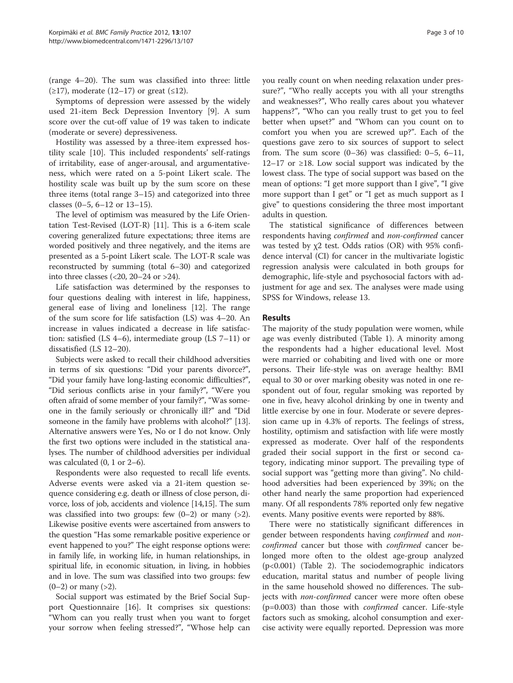(range 4–20). The sum was classified into three: little  $(\geq 17)$ , moderate  $(12-17)$  or great  $(\leq 12)$ .

Symptoms of depression were assessed by the widely used 21-item Beck Depression Inventory [\[9](#page-9-0)]. A sum score over the cut-off value of 19 was taken to indicate (moderate or severe) depressiveness.

Hostility was assessed by a three-item expressed hostility scale [\[10](#page-9-0)]. This included respondents' self-ratings of irritability, ease of anger-arousal, and argumentativeness, which were rated on a 5-point Likert scale. The hostility scale was built up by the sum score on these three items (total range 3–15) and categorized into three classes (0–5, 6–12 or 13–15).

The level of optimism was measured by the Life Orientation Test-Revised (LOT-R) [\[11\]](#page-9-0). This is a 6-item scale covering generalized future expectations; three items are worded positively and three negatively, and the items are presented as a 5-point Likert scale. The LOT-R scale was reconstructed by summing (total 6–30) and categorized into three classes  $\left( < 20, 20 - 24 \text{ or } > 24 \right)$ .

Life satisfaction was determined by the responses to four questions dealing with interest in life, happiness, general ease of living and loneliness [\[12](#page-9-0)]. The range of the sum score for life satisfaction (LS) was 4–20. An increase in values indicated a decrease in life satisfaction: satisfied (LS 4–6), intermediate group (LS 7–11) or dissatisfied (LS 12–20).

Subjects were asked to recall their childhood adversities in terms of six questions: "Did your parents divorce?", "Did your family have long-lasting economic difficulties?", "Did serious conflicts arise in your family?", "Were you often afraid of some member of your family?", "Was someone in the family seriously or chronically ill?" and "Did someone in the family have problems with alcohol?" [[13](#page-9-0)]. Alternative answers were Yes, No or I do not know. Only the first two options were included in the statistical analyses. The number of childhood adversities per individual was calculated (0, 1 or 2–6).

Respondents were also requested to recall life events. Adverse events were asked via a 21-item question sequence considering e.g. death or illness of close person, divorce, loss of job, accidents and violence [\[14,15\]](#page-9-0). The sum was classified into two groups: few  $(0-2)$  or many  $(>2)$ . Likewise positive events were ascertained from answers to the question "Has some remarkable positive experience or event happened to you?" The eight response options were: in family life, in working life, in human relationships, in spiritual life, in economic situation, in living, in hobbies and in love. The sum was classified into two groups: few  $(0-2)$  or many  $(>2)$ .

Social support was estimated by the Brief Social Support Questionnaire [[16](#page-9-0)]. It comprises six questions: "Whom can you really trust when you want to forget your sorrow when feeling stressed?", "Whose help can you really count on when needing relaxation under pressure?", "Who really accepts you with all your strengths and weaknesses?", Who really cares about you whatever happens?", "Who can you really trust to get you to feel better when upset?" and "Whom can you count on to comfort you when you are screwed up?". Each of the questions gave zero to six sources of support to select from. The sum score  $(0-36)$  was classified:  $0-5$ ,  $6-11$ ,  $12-17$  or  $\geq 18$ . Low social support was indicated by the lowest class. The type of social support was based on the mean of options: "I get more support than I give", "I give more support than I get" or "I get as much support as I give" to questions considering the three most important adults in question.

The statistical significance of differences between respondents having confirmed and non-confirmed cancer was tested by χ2 test. Odds ratios (OR) with 95% confidence interval (CI) for cancer in the multivariate logistic regression analysis were calculated in both groups for demographic, life-style and psychosocial factors with adjustment for age and sex. The analyses were made using SPSS for Windows, release 13.

#### Results

The majority of the study population were women, while age was evenly distributed (Table [1](#page-4-0)). A minority among the respondents had a higher educational level. Most were married or cohabiting and lived with one or more persons. Their life-style was on average healthy: BMI equal to 30 or over marking obesity was noted in one respondent out of four, regular smoking was reported by one in five, heavy alcohol drinking by one in twenty and little exercise by one in four. Moderate or severe depression came up in 4.3% of reports. The feelings of stress, hostility, optimism and satisfaction with life were mostly expressed as moderate. Over half of the respondents graded their social support in the first or second category, indicating minor support. The prevailing type of social support was "getting more than giving". No childhood adversities had been experienced by 39%; on the other hand nearly the same proportion had experienced many. Of all respondents 78% reported only few negative events. Many positive events were reported by 88%.

There were no statistically significant differences in gender between respondents having confirmed and nonconfirmed cancer but those with *confirmed* cancer belonged more often to the oldest age-group analyzed (p<0.001) (Table [2](#page-5-0)). The sociodemographic indicators education, marital status and number of people living in the same household showed no differences. The subjects with *non-confirmed* cancer were more often obese (p=0.003) than those with confirmed cancer. Life-style factors such as smoking, alcohol consumption and exercise activity were equally reported. Depression was more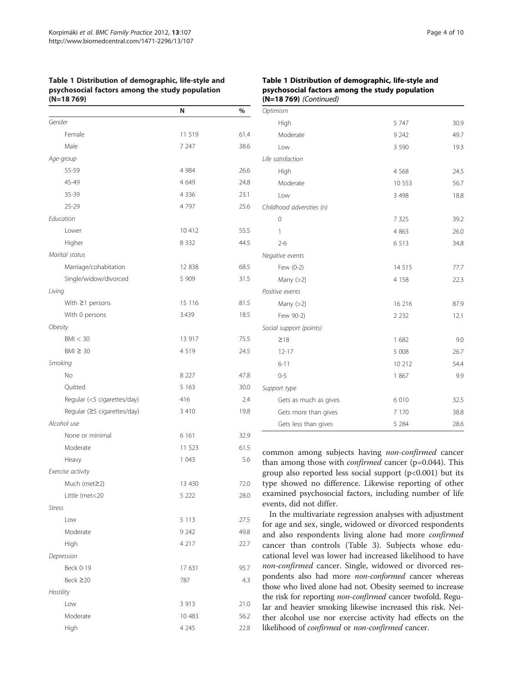<span id="page-4-0"></span>Table 1 Distribution of demographic, life-style and psychosocial factors among the study population (N=18 769)

|                             | N       | %    |
|-----------------------------|---------|------|
| Gender                      |         |      |
| Female                      | 11 519  | 61.4 |
| Male                        | 7 247   | 38.6 |
| Age-group                   |         |      |
| 55-59                       | 4 9 8 4 | 26.6 |
| 45-49                       | 4 6 4 9 | 24.8 |
| 35-39                       | 4 3 3 6 | 23.1 |
| $25 - 29$                   | 4 7 9 7 | 25.6 |
| Education                   |         |      |
| Lower                       | 10 412  | 55.5 |
| Higher                      | 8 3 3 2 | 44.5 |
| Marital status              |         |      |
| Marriage/cohabitation       | 12 838  | 68.5 |
| Single/widow/divorced       | 5 9 0 9 | 31.5 |
| Living                      |         |      |
| With $\geq$ 1 persons       | 15 116  | 81.5 |
| With 0 persons              | 3.439   | 18.5 |
| Obesity                     |         |      |
| BMI < 30                    | 13 917  | 75.5 |
| $BMI \geq 30$               | 4519    | 24.5 |
| Smoking                     |         |      |
| No                          | 8 2 2 7 | 47.8 |
| Quitted                     | 5 1 6 3 | 30.0 |
| Regular (<5 cigarettes/day) | 416     | 2.4  |
| Regular (≥5 cigarettes/day) | 3 4 1 0 | 19.8 |
| Alcohol use                 |         |      |
| None or minimal             | 6 1 6 1 | 32.9 |
| Moderate                    | 11 523  | 61.5 |
| Heavy                       | 1 0 4 3 | 5.6  |
| Exercise activity           |         |      |
| Much (met≥2)                | 13 4 30 | 72.0 |
| Little (met<20              | 5 2 2 2 | 28.0 |
| <b>Stress</b>               |         |      |
| Low                         | 5 1 1 3 | 27.5 |
| Moderate                    | 9 2 4 2 | 49.8 |
| High                        | 4 2 1 7 | 22.7 |
| Depression                  |         |      |
| Beck 0-19                   | 17 631  | 95.7 |
| Beck ≥20                    | 787     | 4.3  |
| Hostility                   |         |      |
| Low                         | 3 913   | 21.0 |
| Moderate                    | 10 483  | 56.2 |
| High                        | 4 2 4 5 | 22.8 |
|                             |         |      |

#### Table 1 Distribution of demographic, life-style and psychosocial factors among the study population (N=18 769) (Continued)

| Optimism                  |         |      |
|---------------------------|---------|------|
| High                      | 5 7 4 7 | 30.9 |
| Moderate                  | 9 2 4 2 | 49.7 |
| Low                       | 3 5 9 0 | 19.3 |
| Life satisfaction         |         |      |
| High                      | 4 5 6 8 | 24.5 |
| Moderate                  | 10 553  | 56.7 |
| Low                       | 3 4 9 8 | 18.8 |
| Childhood adversities (n) |         |      |
| $\overline{0}$            | 7 3 2 5 | 39.2 |
| 1                         | 4 8 6 3 | 26.0 |
| $2 - 6$                   | 6 5 1 3 | 34.8 |
| Negative events           |         |      |
| Few (0-2)                 | 14 5 15 | 77.7 |
| Many $(>2)$               | 4 1 5 8 | 22.3 |
| Positive events           |         |      |
| Many $(>2)$               | 16 216  | 87.9 |
| Few 90-2)                 | 2 2 3 2 | 12.1 |
| Social support (points)   |         |      |
| $\geq$ 18                 | 1 682   | 9.0  |
| $12 - 17$                 | 5 0 0 8 | 26.7 |
| $6 - 11$                  | 10 212  | 54.4 |
| $0 - 5$                   | 1 867   | 9.9  |
| Support type              |         |      |
| Gets as much as gives     | 6 0 1 0 | 32.5 |
| Gets more than gives      | 7 170   | 38.8 |
| Gets less than gives      | 5 2 8 4 | 28.6 |

common among subjects having non-confirmed cancer than among those with *confirmed* cancer (p=0.044). This group also reported less social support (p<0.001) but its type showed no difference. Likewise reporting of other examined psychosocial factors, including number of life events, did not differ.

In the multivariate regression analyses with adjustment for age and sex, single, widowed or divorced respondents and also respondents living alone had more confirmed cancer than controls (Table [3](#page-6-0)). Subjects whose educational level was lower had increased likelihood to have non-confirmed cancer. Single, widowed or divorced respondents also had more non-conformed cancer whereas those who lived alone had not. Obesity seemed to increase the risk for reporting non-confirmed cancer twofold. Regular and heavier smoking likewise increased this risk. Neither alcohol use nor exercise activity had effects on the likelihood of confirmed or non-confirmed cancer.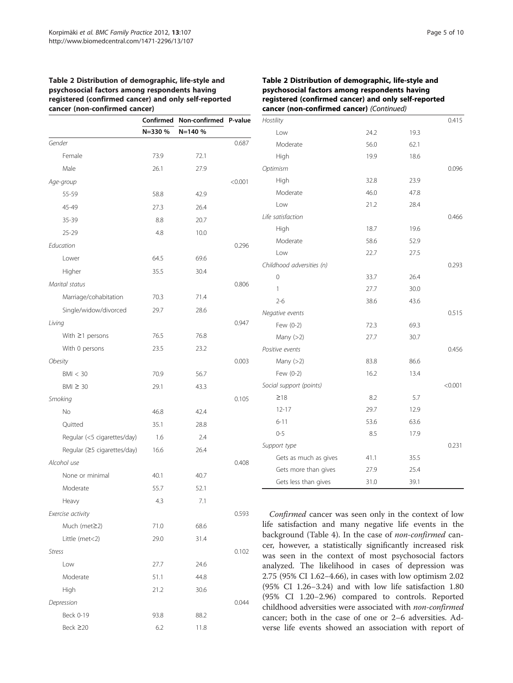## <span id="page-5-0"></span>Table 2 Distribution of demographic, life-style and psychosocial factors among respondents having registered (confirmed cancer) and only self-reported cancer (non-confirmed cancer)

|                             | Confirmed | Non-confirmed | P-value |
|-----------------------------|-----------|---------------|---------|
|                             | N=330 %   | N=140 %       |         |
| Gender                      |           |               | 0.687   |
| Female                      | 73.9      | 72.1          |         |
| Male                        | 26.1      | 27.9          |         |
| Age-group                   |           |               | < 0.001 |
| 55-59                       | 58.8      | 42.9          |         |
| 45-49                       | 27.3      | 26.4          |         |
| 35-39                       | 8.8       | 20.7          |         |
| $25 - 29$                   | 4.8       | 10.0          |         |
| Education                   |           |               | 0.296   |
| Lower                       | 64.5      | 69.6          |         |
| Higher                      | 35.5      | 30.4          |         |
| Marital status              |           |               | 0.806   |
| Marriage/cohabitation       | 70.3      | 71.4          |         |
| Single/widow/divorced       | 29.7      | 28.6          |         |
| Living                      |           |               | 0.947   |
| With $\geq$ 1 persons       | 76.5      | 76.8          |         |
| With 0 persons              | 23.5      | 23.2          |         |
| Obesity                     |           |               | 0.003   |
| BMI < 30                    | 70.9      | 56.7          |         |
| $BM \geq 30$                | 29.1      | 43.3          |         |
| Smoking                     |           |               | 0.105   |
| <b>No</b>                   | 46.8      | 42.4          |         |
| Quitted                     | 35.1      | 28.8          |         |
| Regular (<5 cigarettes/day) | 1.6       | 2.4           |         |
| Regular (≥5 cigarettes/day) | 16.6      | 26.4          |         |
| Alcohol use                 |           |               | 0.408   |
| None or minimal             | 40.1      | 40.7          |         |
| Moderate                    | 55.7      | 52.1          |         |
| Heavy                       | 4.3       | 7.1           |         |
| Exercise activity           |           |               | 0.593   |
| Much (met≥2)                | 71.0      | 68.6          |         |
| Little (met<2)              | 29.0      | 31.4          |         |
| <b>Stress</b>               |           |               | 0.102   |
| Low                         | 27.7      | 24.6          |         |
| Moderate                    | 51.1      | 44.8          |         |
| High                        | 21.2      | 30.6          |         |
| Depression                  |           |               | 0.044   |
| Beck 0-19                   | 93.8      | 88.2          |         |
| Beck ≥20                    | 6.2       | 11.8          |         |
|                             |           |               |         |

## Table 2 Distribution of demographic, life-style and psychosocial factors among respondents having registered (confirmed cancer) and only self-reported cancer (non-confirmed cancer) (Continued)

| Hostility                 |      |      | 0.415   |
|---------------------------|------|------|---------|
| Low                       | 24.2 | 19.3 |         |
| Moderate                  | 56.0 | 62.1 |         |
| High                      | 19.9 | 18.6 |         |
| Optimism                  |      |      | 0.096   |
| High                      | 32.8 | 23.9 |         |
| Moderate                  | 46.0 | 47.8 |         |
| Low                       | 21.2 | 28.4 |         |
| Life satisfaction         |      |      | 0.466   |
| High                      | 18.7 | 19.6 |         |
| Moderate                  | 58.6 | 52.9 |         |
| Low                       | 22.7 | 27.5 |         |
| Childhood adversities (n) |      |      | 0.293   |
| $\mathbf 0$               | 33.7 | 26.4 |         |
| 1                         | 27.7 | 30.0 |         |
| $2 - 6$                   | 38.6 | 43.6 |         |
| Negative events           |      |      | 0.515   |
| Few (0-2)                 | 72.3 | 69.3 |         |
| Many $(>2)$               | 27.7 | 30.7 |         |
| Positive events           |      |      | 0.456   |
| Many $(>2)$               | 83.8 | 86.6 |         |
| Few (0-2)                 | 16.2 | 13.4 |         |
| Social support (points)   |      |      | < 0.001 |
| $\geq$ 18                 | 8.2  | 5.7  |         |
| $12 - 17$                 | 29.7 | 12.9 |         |
| $6 - 11$                  | 53.6 | 63.6 |         |
| $0 - 5$                   | 8.5  | 17.9 |         |
| Support type              |      |      | 0.231   |
| Gets as much as gives     | 41.1 | 35.5 |         |
| Gets more than gives      | 27.9 | 25.4 |         |
| Gets less than gives      | 31.0 | 39.1 |         |
|                           |      |      |         |

Confirmed cancer was seen only in the context of low life satisfaction and many negative life events in the background (Table [4\)](#page-7-0). In the case of non-confirmed cancer, however, a statistically significantly increased risk was seen in the context of most psychosocial factors analyzed. The likelihood in cases of depression was 2.75 (95% CI 1.62−4.66), in cases with low optimism 2.02 (95% CI 1.26−3.24) and with low life satisfaction 1.80 (95% CI 1.20−2.96) compared to controls. Reported childhood adversities were associated with non-confirmed cancer; both in the case of one or 2–6 adversities. Adverse life events showed an association with report of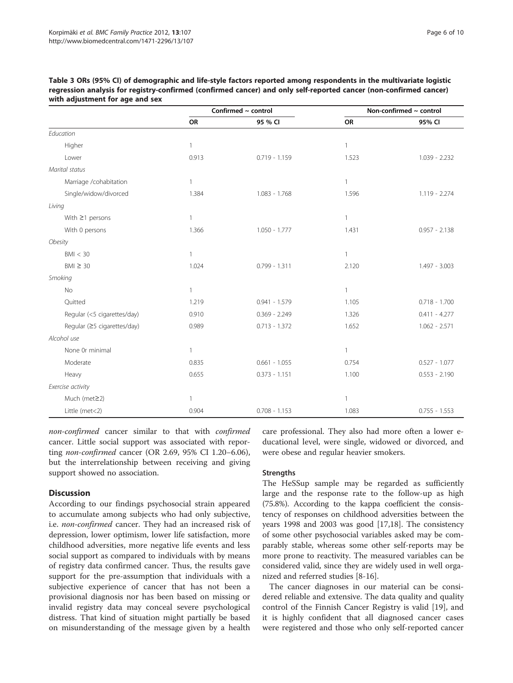|                             | Confirmed ~ control |                 | Non-confirmed $\sim$ control |                 |
|-----------------------------|---------------------|-----------------|------------------------------|-----------------|
|                             | <b>OR</b>           | 95 % CI         | <b>OR</b>                    | 95% CI          |
| Education                   |                     |                 |                              |                 |
| Higher                      | $\overline{1}$      |                 | $\mathbf{1}$                 |                 |
| Lower                       | 0.913               | $0.719 - 1.159$ | 1.523                        | 1.039 - 2.232   |
| Marital status              |                     |                 |                              |                 |
| Marriage /cohabitation      | $\overline{1}$      |                 | $\mathbf{1}$                 |                 |
| Single/widow/divorced       | 1.384               | $1.083 - 1.768$ | 1.596                        | $1.119 - 2.274$ |
| Living                      |                     |                 |                              |                 |
| With $\geq$ 1 persons       | $\mathbf{1}$        |                 | $\mathbf{1}$                 |                 |
| With 0 persons              | 1.366               | $1.050 - 1.777$ | 1.431                        | $0.957 - 2.138$ |
| Obesity                     |                     |                 |                              |                 |
| BMI < 30                    | $\overline{1}$      |                 | $\mathbf{1}$                 |                 |
| $BMI \geq 30$               | 1.024               | $0.799 - 1.311$ | 2.120                        | 1.497 - 3.003   |
| Smoking                     |                     |                 |                              |                 |
| No                          | $\mathbf{1}$        |                 | $\mathbf{1}$                 |                 |
| Quitted                     | 1.219               | $0.941 - 1.579$ | 1.105                        | $0.718 - 1.700$ |
| Regular (<5 cigarettes/day) | 0.910               | $0.369 - 2.249$ | 1.326                        | $0.411 - 4.277$ |
| Regular (≥5 cigarettes/day) | 0.989               | $0.713 - 1.372$ | 1.652                        | $1.062 - 2.571$ |
| Alcohol use                 |                     |                 |                              |                 |
| None 0r minimal             | $\mathbf{1}$        |                 | $\mathbf{1}$                 |                 |
| Moderate                    | 0.835               | $0.661 - 1.055$ | 0.754                        | $0.527 - 1.077$ |
| Heavy                       | 0.655               | $0.373 - 1.151$ | 1.100                        | $0.553 - 2.190$ |
| Exercise activity           |                     |                 |                              |                 |
| Much (met≥2)                | $\mathbf{1}$        |                 | $\mathbf{1}$                 |                 |
| Little (met<2)              | 0.904               | $0.708 - 1.153$ | 1.083                        | $0.755 - 1.553$ |

<span id="page-6-0"></span>Table 3 ORs (95% CI) of demographic and life-style factors reported among respondents in the multivariate logistic regression analysis for registry-confirmed (confirmed cancer) and only self-reported cancer (non-confirmed cancer) with adjustment for age and sex

non-confirmed cancer similar to that with confirmed cancer. Little social support was associated with reporting non-confirmed cancer (OR 2.69, 95% CI 1.20−6.06), but the interrelationship between receiving and giving support showed no association.

#### **Discussion**

According to our findings psychosocial strain appeared to accumulate among subjects who had only subjective, i.e. non-confirmed cancer. They had an increased risk of depression, lower optimism, lower life satisfaction, more childhood adversities, more negative life events and less social support as compared to individuals with by means of registry data confirmed cancer. Thus, the results gave support for the pre-assumption that individuals with a subjective experience of cancer that has not been a provisional diagnosis nor has been based on missing or invalid registry data may conceal severe psychological distress. That kind of situation might partially be based on misunderstanding of the message given by a health

care professional. They also had more often a lower educational level, were single, widowed or divorced, and were obese and regular heavier smokers.

#### **Strengths**

The HeSSup sample may be regarded as sufficiently large and the response rate to the follow-up as high (75.8%). According to the kappa coefficient the consistency of responses on childhood adversities between the years 1998 and 2003 was good [\[17,18\]](#page-9-0). The consistency of some other psychosocial variables asked may be comparably stable, whereas some other self-reports may be more prone to reactivity. The measured variables can be considered valid, since they are widely used in well organized and referred studies [\[8](#page-9-0)-[16\]](#page-9-0).

The cancer diagnoses in our material can be considered reliable and extensive. The data quality and quality control of the Finnish Cancer Registry is valid [[19\]](#page-9-0), and it is highly confident that all diagnosed cancer cases were registered and those who only self-reported cancer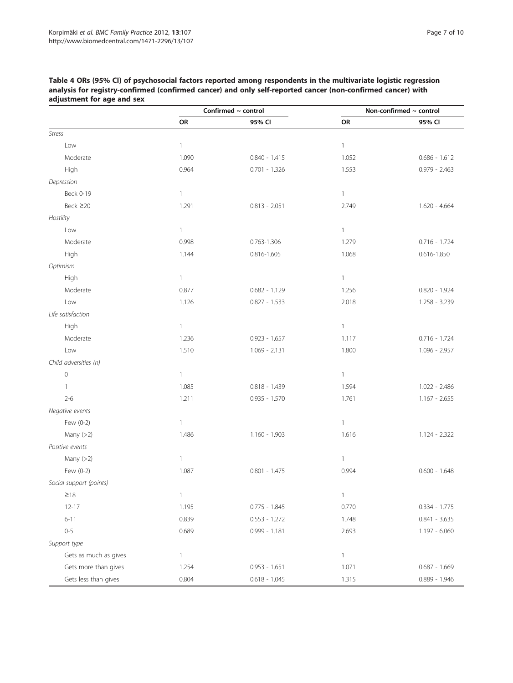|                         |              | Confirmed $\sim$ control |               | Non-confirmed $\sim$ control |  |
|-------------------------|--------------|--------------------------|---------------|------------------------------|--|
|                         | OR           | 95% CI                   | OR            | 95% CI                       |  |
| <b>Stress</b>           |              |                          |               |                              |  |
| Low                     | $\mathbf{1}$ |                          | $\mathbf{1}$  |                              |  |
| Moderate                | 1.090        | $0.840 - 1.415$          | 1.052         | $0.686 - 1.612$              |  |
| High                    | 0.964        | $0.701 - 1.326$          | 1.553         | $0.979 - 2.463$              |  |
| Depression              |              |                          |               |                              |  |
| Beck 0-19               | $\mathbf{1}$ |                          | $\mathbf{1}$  |                              |  |
| Beck $\geq$ 20          | 1.291        | $0.813 - 2.051$          | 2.749         | 1.620 - 4.664                |  |
| Hostility               |              |                          |               |                              |  |
| Low                     | $\mathbf{1}$ |                          | $\mathbbm{1}$ |                              |  |
| Moderate                | 0.998        | 0.763-1.306              | 1.279         | $0.716 - 1.724$              |  |
| High                    | 1.144        | 0.816-1.605              | 1.068         | 0.616-1.850                  |  |
| Optimism                |              |                          |               |                              |  |
| High                    | $\mathbf{1}$ |                          | $\mathbf{1}$  |                              |  |
| Moderate                | 0.877        | $0.682 - 1.129$          | 1.256         | $0.820 - 1.924$              |  |
| Low                     | 1.126        | $0.827 - 1.533$          | 2.018         | 1.258 - 3.239                |  |
| Life satisfaction       |              |                          |               |                              |  |
| High                    | $\mathbf{1}$ |                          | $\mathbf{1}$  |                              |  |
| Moderate                | 1.236        | $0.923 - 1.657$          | 1.117         | $0.716 - 1.724$              |  |
| Low                     | 1.510        | $1.069 - 2.131$          | 1.800         | 1.096 - 2.957                |  |
| Child adversities (n)   |              |                          |               |                              |  |
| $\mathbf 0$             | $\mathbf{1}$ |                          | $\mathbbm{1}$ |                              |  |
| 1                       | 1.085        | $0.818 - 1.439$          | 1.594         | 1.022 - 2.486                |  |
| $2 - 6$                 | 1.211        | $0.935 - 1.570$          | 1.761         | $1.167 - 2.655$              |  |
| Negative events         |              |                          |               |                              |  |
| Few (0-2)               | $\mathbf{1}$ |                          | $\mathbf{1}$  |                              |  |
| Many $(>2)$             | 1.486        | 1.160 - 1.903            | 1.616         | 1.124 - 2.322                |  |
| Positive events         |              |                          |               |                              |  |
| Many $(>2)$             | $\mathbf{1}$ |                          | $\mathbf{1}$  |                              |  |
| Few (0-2)               | 1.087        | $0.801 - 1.475$          | 0.994         | $0.600 - 1.648$              |  |
| Social support (points) |              |                          |               |                              |  |
| $\geq$ 18               | $\mathbf{1}$ |                          | $\mathbf{1}$  |                              |  |
| $12 - 17$               | 1.195        | $0.775 - 1.845$          | 0.770         | $0.334 - 1.775$              |  |
| $6 - 11$                | 0.839        | $0.553 - 1.272$          | 1.748         | $0.841 - 3.635$              |  |
| $0 - 5$                 | 0.689        | $0.999 - 1.181$          | 2.693         | $1.197 - 6.060$              |  |
| Support type            |              |                          |               |                              |  |
| Gets as much as gives   | $\mathbf{1}$ |                          | $\mathbf{1}$  |                              |  |
| Gets more than gives    | 1.254        | $0.953 - 1.651$          | 1.071         | $0.687 - 1.669$              |  |
| Gets less than gives    | 0.804        | $0.618 - 1.045$          | 1.315         | 0.889 - 1.946                |  |

#### <span id="page-7-0"></span>Table 4 ORs (95% CI) of psychosocial factors reported among respondents in the multivariate logistic regression analysis for registry-confirmed (confirmed cancer) and only self-reported cancer (non-confirmed cancer) with adjustment for age and sex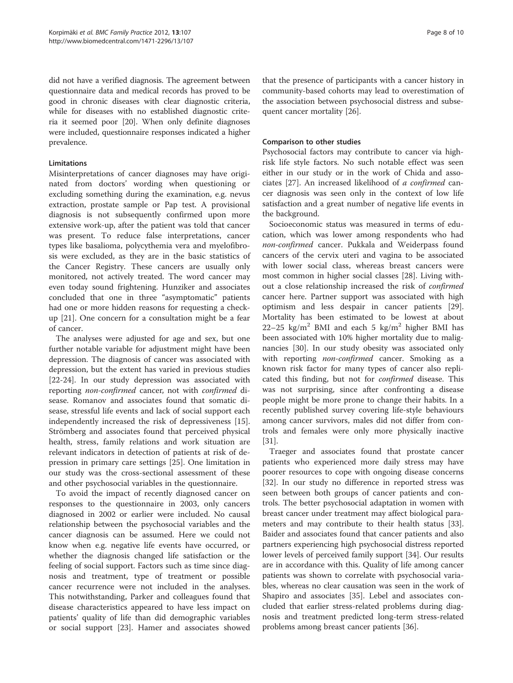did not have a verified diagnosis. The agreement between questionnaire data and medical records has proved to be good in chronic diseases with clear diagnostic criteria, while for diseases with no established diagnostic criteria it seemed poor [\[20\]](#page-9-0). When only definite diagnoses were included, questionnaire responses indicated a higher prevalence.

#### Limitations

Misinterpretations of cancer diagnoses may have originated from doctors' wording when questioning or excluding something during the examination, e.g. nevus extraction, prostate sample or Pap test. A provisional diagnosis is not subsequently confirmed upon more extensive work-up, after the patient was told that cancer was present. To reduce false interpretations, cancer types like basalioma, polycythemia vera and myelofibrosis were excluded, as they are in the basic statistics of the Cancer Registry. These cancers are usually only monitored, not actively treated. The word cancer may even today sound frightening. Hunziker and associates concluded that one in three "asymptomatic" patients had one or more hidden reasons for requesting a checkup [[21\]](#page-9-0). One concern for a consultation might be a fear of cancer.

The analyses were adjusted for age and sex, but one further notable variable for adjustment might have been depression. The diagnosis of cancer was associated with depression, but the extent has varied in previous studies [[22-24](#page-9-0)]. In our study depression was associated with reporting non-confirmed cancer, not with confirmed disease. Romanov and associates found that somatic disease, stressful life events and lack of social support each independently increased the risk of depressiveness [\[15](#page-9-0)]. Strömberg and associates found that perceived physical health, stress, family relations and work situation are relevant indicators in detection of patients at risk of depression in primary care settings [[25](#page-9-0)]. One limitation in our study was the cross-sectional assessment of these and other psychosocial variables in the questionnaire.

To avoid the impact of recently diagnosed cancer on responses to the questionnaire in 2003, only cancers diagnosed in 2002 or earlier were included. No causal relationship between the psychosocial variables and the cancer diagnosis can be assumed. Here we could not know when e.g. negative life events have occurred, or whether the diagnosis changed life satisfaction or the feeling of social support. Factors such as time since diagnosis and treatment, type of treatment or possible cancer recurrence were not included in the analyses. This notwithstanding, Parker and colleagues found that disease characteristics appeared to have less impact on patients' quality of life than did demographic variables or social support [[23](#page-9-0)]. Hamer and associates showed that the presence of participants with a cancer history in community-based cohorts may lead to overestimation of the association between psychosocial distress and subsequent cancer mortality [\[26\]](#page-9-0).

## Comparison to other studies

Psychosocial factors may contribute to cancer via highrisk life style factors. No such notable effect was seen either in our study or in the work of Chida and associates [\[27](#page-9-0)]. An increased likelihood of a confirmed cancer diagnosis was seen only in the context of low life satisfaction and a great number of negative life events in the background.

Socioeconomic status was measured in terms of education, which was lower among respondents who had non-confirmed cancer. Pukkala and Weiderpass found cancers of the cervix uteri and vagina to be associated with lower social class, whereas breast cancers were most common in higher social classes [[28](#page-9-0)]. Living without a close relationship increased the risk of confirmed cancer here. Partner support was associated with high optimism and less despair in cancer patients [\[29](#page-9-0)]. Mortality has been estimated to be lowest at about 22–25 kg/m<sup>2</sup> BMI and each 5 kg/m<sup>2</sup> higher BMI has been associated with 10% higher mortality due to malignancies [\[30\]](#page-9-0). In our study obesity was associated only with reporting non-confirmed cancer. Smoking as a known risk factor for many types of cancer also replicated this finding, but not for confirmed disease. This was not surprising, since after confronting a disease people might be more prone to change their habits. In a recently published survey covering life-style behaviours among cancer survivors, males did not differ from controls and females were only more physically inactive [[31\]](#page-10-0).

Traeger and associates found that prostate cancer patients who experienced more daily stress may have poorer resources to cope with ongoing disease concerns [[32\]](#page-10-0). In our study no difference in reported stress was seen between both groups of cancer patients and controls. The better psychosocial adaptation in women with breast cancer under treatment may affect biological parameters and may contribute to their health status [[33](#page-10-0)]. Baider and associates found that cancer patients and also partners experiencing high psychosocial distress reported lower levels of perceived family support [[34\]](#page-10-0). Our results are in accordance with this. Quality of life among cancer patients was shown to correlate with psychosocial variables, whereas no clear causation was seen in the work of Shapiro and associates [[35](#page-10-0)]. Lebel and associates concluded that earlier stress-related problems during diagnosis and treatment predicted long-term stress-related problems among breast cancer patients [[36\]](#page-10-0).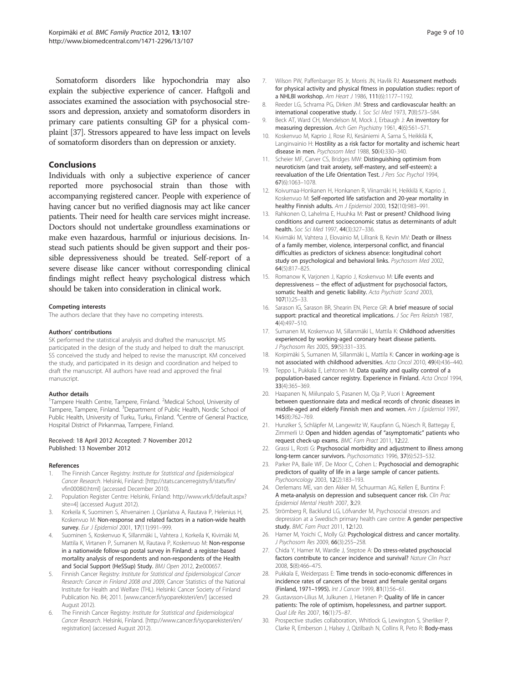<span id="page-9-0"></span>Somatoform disorders like hypochondria may also explain the subjective experience of cancer. Haftgoli and associates examined the association with psychosocial stressors and depression, anxiety and somatoform disorders in primary care patients consulting GP for a physical complaint [[37](#page-10-0)]. Stressors appeared to have less impact on levels of somatoform disorders than on depression or anxiety.

## Conclusions

Individuals with only a subjective experience of cancer reported more psychosocial strain than those with accompanying registered cancer. People with experience of having cancer but no verified diagnosis may act like cancer patients. Their need for health care services might increase. Doctors should not undertake groundless examinations or make even hazardous, harmful or injurious decisions. Instead such patients should be given support and their possible depressiveness should be treated. Self-report of a severe disease like cancer without corresponding clinical findings might reflect heavy psychological distress which should be taken into consideration in clinical work.

#### Competing interests

The authors declare that they have no competing interests.

#### Authors' contributions

SK performed the statistical analysis and drafted the manuscript. MS participated in the design of the study and helped to draft the manuscript. SS conceived the study and helped to revise the manuscript. KM conceived the study, and participated in its design and coordination and helped to draft the manuscript. All authors have read and approved the final manuscript.

#### Author details

<sup>1</sup>Tampere Health Centre, Tampere, Finland. <sup>2</sup>Medical School, University of Tampere, Tampere, Finland. <sup>3</sup>Department of Public Health, Nordic School of Public Health, University of Turku, Turku, Finland. <sup>4</sup>Centre of General Practice, Hospital District of Pirkanmaa, Tampere, Finland.

#### Received: 18 April 2012 Accepted: 7 November 2012 Published: 13 November 2012

#### References

- 1. The Finnish Cancer Registry: Institute for Statistical and Epidemiological Cancer Research. Helsinki, Finland: [[http://stats.cancerregistry.fi/stats/fin/](http://stats.cancerregistry.fi/stats/fin/vfin0008i0.html) [vfin0008i0.html\]](http://stats.cancerregistry.fi/stats/fin/vfin0008i0.html) (accessed December 2010).
- 2. Population Register Centre: Helsinki, Finland: [http://www.vrk.fi/default.aspx?](http://www.vrk.fi/default.aspx?site=4) [site=4\]](http://www.vrk.fi/default.aspx?site=4) (accessed August 2012).
- 3. Korkeila K, Suominen S, Ahvenainen J, Ojanlatva A, Rautava P, Helenius H, Koskenvuo M: Non-response and related factors in a nation-wide health survey. Eur J Epidemiol 2001, 17(11):991-999.
- 4. Suominen S, Koskenvuo K, Sillanmäki L, Vahtera J, Korkeila K, Kivimäki M, Mattila K, Virtanen P, Sumanen M, Rautava P, Koskenvuo M: Non-response in a nationwide follow-up postal survey in Finland: a register-based mortality analysis of respondents and non-respondents of the Health and Social Support (HeSSup) Study. BMJ Open 2012, 2:e000657.
- 5. Finnish Cancer Registry: Institute for Statistical and Epidemiological Cancer Research: Cancer in Finland 2008 and 2009, Cancer Statistics of the National Institute for Health and Welfare (THL). Helsinki: Cancer Society of Finland Publication No. 84; 2011. [\[www.cancer.fi/syoparekisteri/en/\]](http://www.cancer.fi/syoparekisteri/en/) (accessed August 2012).
- The Finnish Cancer Registry: Institute for Statistical and Epidemiological Cancer Research. Helsinki, Finland. [[http://www.cancer.fi/syoparekisteri/en/](http://www.cancer.fi/syoparekisteri/en/registration) [registration\]](http://www.cancer.fi/syoparekisteri/en/registration) (accessed August 2012).
- 7. Wilson PW, Paffenbarger RS Jr, Morris JN, Havlik RJ: Assessment methods for physical activity and physical fitness in population studies: report of a NHLBI workshop. Am Heart J 1986, 111(6):1177–1192.
- 8. Reeder LG, Schrama PG, Dirken JM: Stress and cardiovascular health: an international cooperative study. I. Soc Sci Med 1973, 7(8):573–584.
- 9. Beck AT, Ward CH, Mendelson M, Mock J, Erbaugh J: An inventory for measuring depression. Arch Gen Psychiatry 1961, 4(6):561–571.
- 10. Koskenvuo M, Kaprio J, Rose RJ, Kesäniemi A, Sarna S, Heikkilä K, Langinvainio H: Hostility as a risk factor for mortality and ischemic heart disease in men. Psychosom Med 1988, 50(4):330–340.
- 11. Scheier MF, Carver CS, Bridges MW: Distinguishing optimism from neuroticism (and trait anxiety, self-mastery, and self-esteem): a reevaluation of the Life Orientation Test. J Pers Soc Psychol 1994, 67(6):1063–1078.
- 12. Koivumaa-Honkanen H, Honkanen R, Viinamäki H, Heikkilä K, Kaprio J, Koskenvuo M: Self-reported life satisfaction and 20-year mortality in healthy Finnish adults. Am J Epidemiol 2000, 152(10):983-991.
- 13. Rahkonen O, Lahelma E, Huuhka M: Past or present? Childhood living conditions and current socioeconomic status as determinants of adult health. Soc Sci Med 1997, 44(3):327–336.
- 14. Kivimäki M, Vahtera J, Elovainio M, Lillrank B, Kevin MV: Death or illness of a family member, violence, interpersonal conflict, and financial difficulties as predictors of sickness absence: longitudinal cohort study on psychological and behavioral links. Psychosom Med 2002, 64(5):817–825.
- 15. Romanow K, Varjonen J, Kaprio J, Koskenvuo M: Life events and depressiveness − the effect of adjustment for psychosocial factors, somatic health and genetic liability. Acta Psychiatr Scand 2003, 107(1):25–33.
- 16. Sarason IG, Sarason BR, Shearin EN, Pierce GR: A brief measure of social support: practical and theoretical implications. J Soc Pers Relatsh 1987, 4(4):497–510.
- 17. Sumanen M, Koskenvuo M, Sillanmäki L, Mattila K: Childhood adversities experienced by working-aged coronary heart disease patients. J Psychosom Res 2005, 59(5):331–335.
- 18. Korpimäki S, Sumanen M, Sillanmäki L, Mattila K: Cancer in working-age is not associated with childhood adversities. Acta Oncol 2010, 49(4):436–440.
- 19. Teppo L, Pukkala E, Lehtonen M: Data quality and quality control of a population-based cancer registry. Experience in Finland. Acta Oncol 1994, 33(4):365–369.
- 20. Haapanen N, Miilunpalo S, Pasanen M, Oja P, Vuori I: Agreement between questionnaire data and medical records of chronic diseases in middle-aged and elderly Finnish men and women. Am J Epidemiol 1997, 145(8):762–769.
- 21. Hunziker S, Schläpfer M, Langewitz W, Kaupfann G, Nüesch R, Battegay E, Zimmerli U: Open and hidden agendas of "asymptomatic" patients who request check-up exams. BMC Fam Pract 2011, 12:22.
- 22. Grassi L, Rosti G: Psychosocial morbidity and adjustment to illness among long-term cancer survivors. Psychosomatics 1996, 37(6):523–532.
- 23. Parker PA, Baile WF, De Moor C, Cohen L: Psychosocial and demographic predictors of quality of life in a large sample of cancer patients. Psychooncology 2003, 12(2):183–193.
- 24. Oerlemans ME, van den Akker M, Schuurman AG, Kellen E, Buntinx F: A meta-analysis on depression and subsequent cancer risk. Clin Prac Epidemiol Mental Health 2007, 3:29.
- 25. Strömberg R, Backlund LG, Löfvander M, Psychosocial stressors and depression at a Swedisch primary health care centre: A gender perspective study. BMC Fam Pract 2011, 12:120.
- 26. Hamer M, Yoichi C, Molly GJ: Psychological distress and cancer mortality. J Psychosom Res 2009, 66(3):255–258.
- 27. Chida Y, Hamer M, Wardle J, Steptoe A: Do stress-related psychosocial factors contribute to cancer incidence and survival? Nature Clin Pract 2008, 5(8):466–475.
- 28. Pukkala E, Weiderpass E: Time trends in socio-economic differences in incidence rates of cancers of the breast and female genital organs (Finland, 1971–1995). Int J Cancer 1999, 81(1):56–61.
- 29. Gustavsson-Lilius M, Julkunen J, Hietanen P: Quality of life in cancer patients: The role of optimism, hopelessness, and partner support. Qual Life Res 2007, 16(1):75–87.
- 30. Prospective studies collaboration, Whitlock G, Lewington S, Sherliker P, Clarke R, Emberson J, Halsey J, Qizilbash N, Collins R, Peto R: Body-mass